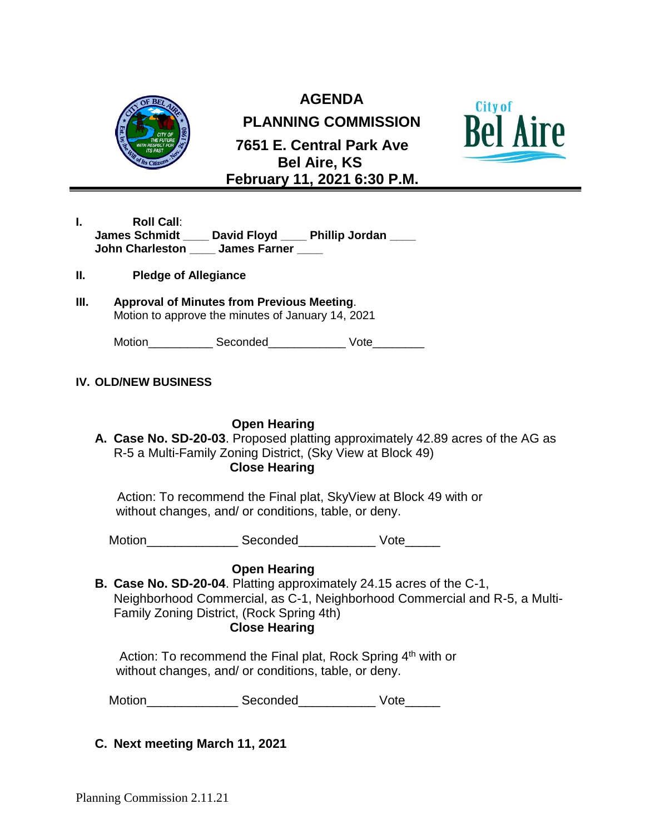

**AGENDA**

**PLANNING COMMISSION**





- **I. Roll Call**: **James Schmidt \_\_\_\_ David Floyd \_\_\_\_ Phillip Jordan \_\_\_\_ John Charleston \_\_\_\_ James Farner \_\_\_\_**
- **II. Pledge of Allegiance**
- **III. Approval of Minutes from Previous Meeting**. Motion to approve the minutes of January 14, 2021

Motion **Seconded** Vote

## **IV. OLD/NEW BUSINESS**

## **Open Hearing**

**A. Case No. SD-20-03**. Proposed platting approximately 42.89 acres of the AG as R-5 a Multi-Family Zoning District, (Sky View at Block 49)

## **Close Hearing**

 Action: To recommend the Final plat, SkyView at Block 49 with or without changes, and/ or conditions, table, or deny.

Motion\_\_\_\_\_\_\_\_\_\_\_\_\_\_\_\_\_\_\_\_\_Seconded\_\_\_\_\_\_\_\_\_\_\_\_\_\_\_\_\_Vote\_\_\_\_\_\_\_

## **Open Hearing**

**B. Case No. SD-20-04**. Platting approximately 24.15 acres of the C-1, Neighborhood Commercial, as C-1, Neighborhood Commercial and R-5, a Multi-Family Zoning District, (Rock Spring 4th)  **Close Hearing**

Action: To recommend the Final plat, Rock Spring  $4<sup>th</sup>$  with or without changes, and/ or conditions, table, or deny.

Motion\_\_\_\_\_\_\_\_\_\_\_\_\_\_\_\_\_\_\_\_\_\_ Seconded\_\_\_\_\_\_\_\_\_\_\_\_\_\_\_\_\_ Vote\_\_\_\_\_\_\_

**C. Next meeting March 11, 2021**